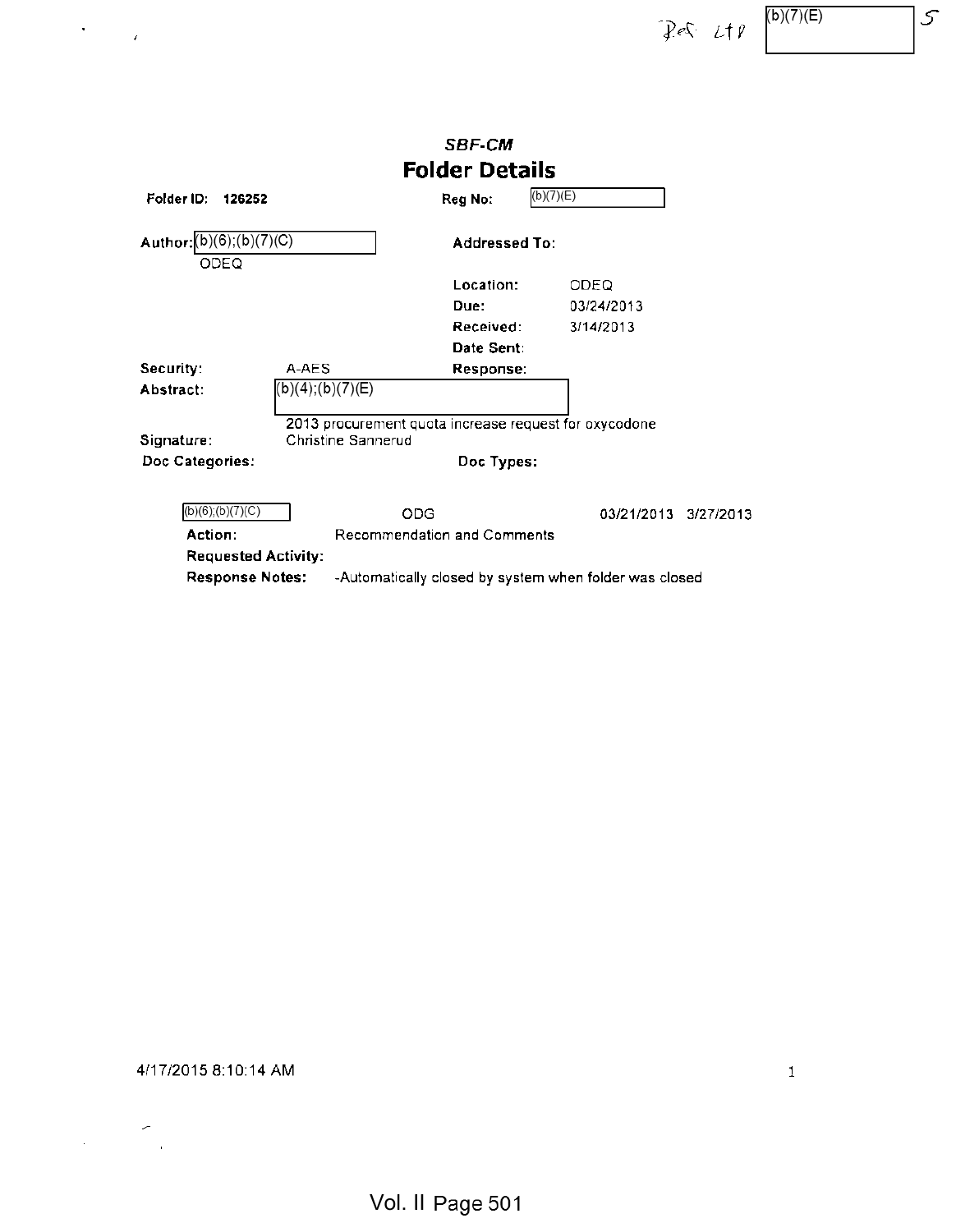$\left\{ \mathcal{P} \in \mathcal{L} \mid \mathcal{L} \in \mathcal{P} \right\}$   $\left\{ \mathcal{P} \in \mathcal{P} \cup \mathcal{P} \right\}$   $\left\{ \mathcal{P} \in \mathcal{P} \cup \mathcal{P} \right\}$ 

|                                   |                                                                             | <b>SBF-CM</b>                      |                                                        |           |
|-----------------------------------|-----------------------------------------------------------------------------|------------------------------------|--------------------------------------------------------|-----------|
|                                   |                                                                             | <b>Folder Details</b>              |                                                        |           |
| Folder ID:<br>126252              |                                                                             | Reg No:                            | (b)(7)(E)                                              |           |
| Author: (b)(6); (b)(7)(C)<br>ODEQ |                                                                             | Addressed To:                      |                                                        |           |
|                                   |                                                                             | Location:                          | ODEQ                                                   |           |
|                                   |                                                                             | Due:                               | 03/24/2013                                             |           |
|                                   |                                                                             | Received:                          | 3/14/2013                                              |           |
|                                   |                                                                             | Date Sent:                         |                                                        |           |
| Security:                         | A-AES                                                                       | Response:                          |                                                        |           |
| Abstract:                         | (b)(4);(b)(7)(E)                                                            |                                    |                                                        |           |
| Signature:                        | 2013 procurement quota increase request for oxycodone<br>Christine Sannerud |                                    |                                                        |           |
| Doc Categories:                   |                                                                             | Doc Types:                         |                                                        |           |
| $(b)(6)$ ; $(b)(7)(C)$            | ODG                                                                         |                                    | 03/21/2013                                             | 3/27/2013 |
| Action:                           |                                                                             | <b>Recommendation and Comments</b> |                                                        |           |
| <b>Requested Activity:</b>        |                                                                             |                                    |                                                        |           |
| <b>Response Notes:</b>            |                                                                             |                                    | -Automatically closed by system when folder was closed |           |

# 4/17/2015 8:10:14 AM <sup>1</sup>

 $\frac{1}{2} \left( \frac{1}{2} \right)^2$ 

 $\mathcal{F}^{\text{max}}_{\text{max}}$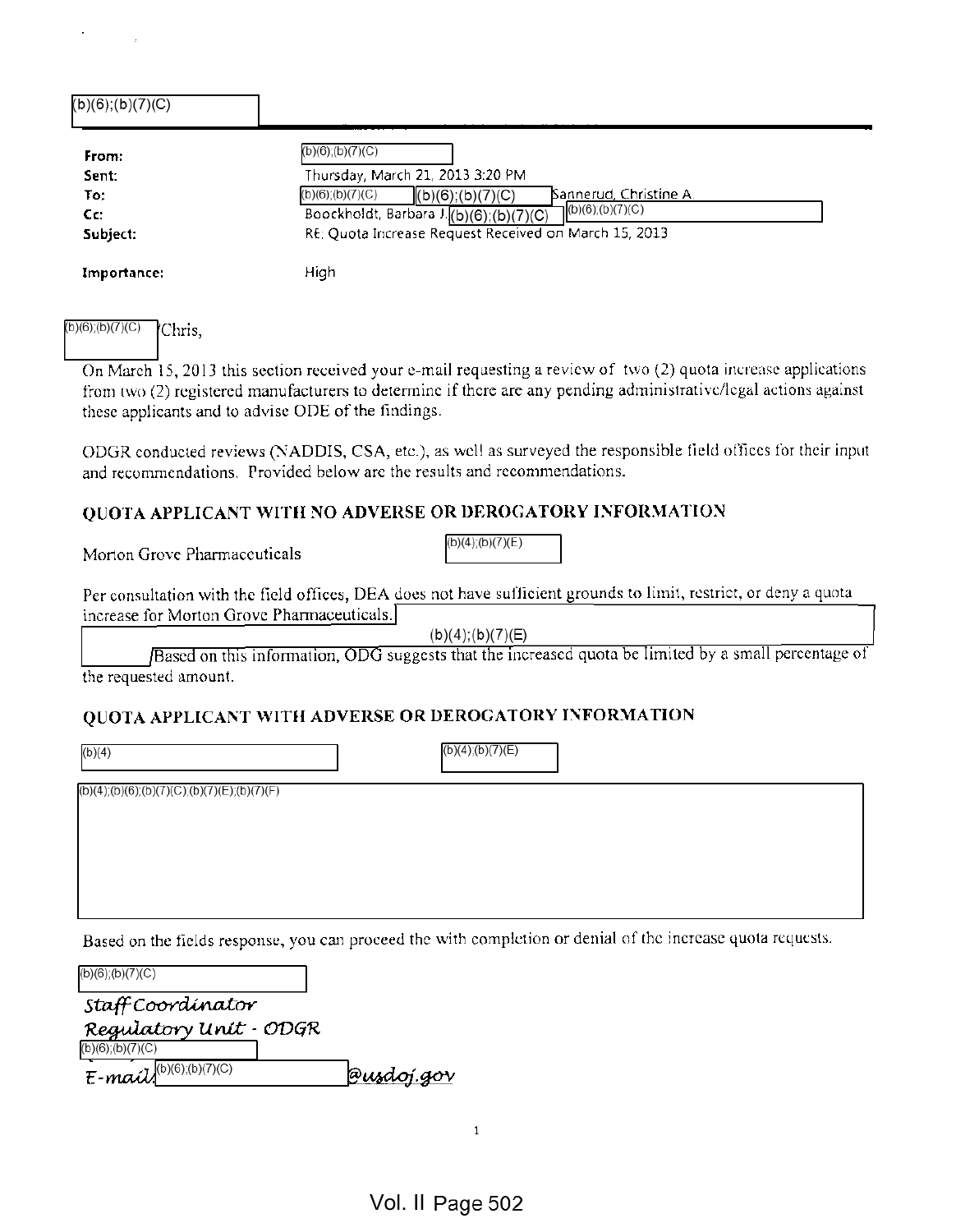| (b)(6);(b)(7)(C)                         |                                                                                                                                                                                                                                                                   |
|------------------------------------------|-------------------------------------------------------------------------------------------------------------------------------------------------------------------------------------------------------------------------------------------------------------------|
| From:<br>Sent:<br>To:<br>Cc:<br>Subject: | (b)(6);(b)(7)(C)<br>Thursday, March 21, 2013 3:20 PM<br>Sannerud, Christine A.<br>$(b)(6)$ ; $(b)(7)(C)$<br>(b)(6); (b)(7)(C)<br>$\mathsf{L}(b)(6)$ ;(b)(7)(C)<br>Boockholdt, Barbara J.(b)(6);(b)(7)(C)<br>RE: Quota Increase Request Received on March 15, 2013 |
| Importance:                              | High                                                                                                                                                                                                                                                              |

## $(b)(6)$ ; $(b)(7)(C)$  Chris,

On March 15, 2013 this section received your e-mail requesting <sup>a</sup> review of two (2) quota increase applications from two (2) registered manufacturers to determine if there are any pending administrative/legal actions against these applicants and to advise ODE of the findings.

ODGR conducted reviews (NADDIS, CSA, etc.), as well as surveyed the responsible field offices for their input and recommendations. Provided below are the results and recommendations.

 $(b)(4)$ ; $(b)(7)(E)$ 

## QUOTA APPLICANT WITH NO ADVERSE OR DEROGATORY INFORMATION

Morton Grove Pharmaceuticals

Per consultation with the field offices, DEA does not have sufficient grounds to limit, restrict, or deny <sup>a</sup> quota increase for Morton Grove Pharmaceuticals.

 $(b)(4);(b)(7)(E)$  respectively. The contract of the contract of the contract of the contract of the contract of the contract of the contract of the contract of the contract of the contract of the contract of the contract of t

/Based on this information, ODG suggests that the increased quota be limited by a small percentage of the requested amount.

## QUOTA APPLICANT WITH ADVERSE OR DEROGATORY INFORMATION

(b)(4);(b)(7)(E)

 $(b)(4)$ ; $(b)(6)$ ; $(b)(7)$ (C); $(b)(7)$ (E); $(b)(7)$ (F)

Based on the fields response, you can proceed the with completion or denial of the increase quota requests.

| (b)(6);(b)(7)(C)                                 |            |
|--------------------------------------------------|------------|
| Staff Coordinator                                |            |
| Regulatory Unit - ODGR<br>$(b)(6)$ ; $(b)(7)(C)$ |            |
| $E$ -mail(b)(6);(b)(7)(C)                        | @usdoj.gov |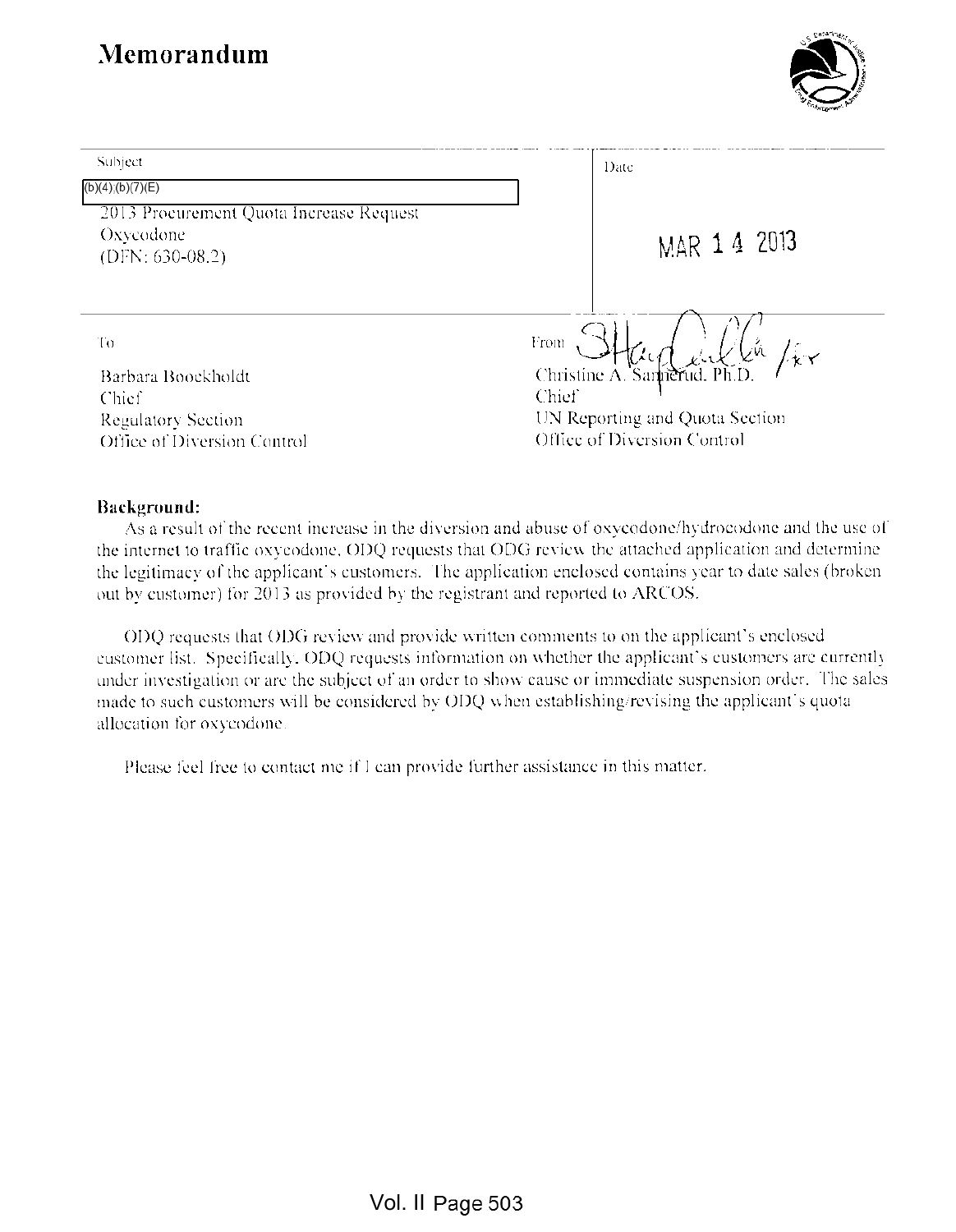

| Subject                                 | Date                                                               |
|-----------------------------------------|--------------------------------------------------------------------|
| $(b)(4)$ ; $(b)(7)(E)$                  |                                                                    |
| 2013 Procurement Quota Increase Request |                                                                    |
| Oxycodone<br>$(DFN: 630-08.2)$          | MAR 1 4 2013                                                       |
|                                         |                                                                    |
| Τo                                      | From<br>Lň.<br>$l^{\scriptscriptstyle\vee}_{\mathbf{k}\mathbf{Y}}$ |
| Barbara Boockholdt                      | Christine $A$ .<br>Sarhierud, Ph.L                                 |
| Chief                                   | Chief                                                              |
| <b>Regulatory Section</b>               | UN Reporting and Quota Section                                     |
| Office of Diversion Control             | Office of Diversion Control                                        |

#### Background:

As <sup>a</sup> result of the recent increase in the diversion and abuse of oxycodone/hydroeodone and the use of the internet to traffic oxycodone. ODQ requests that ODG review the attached application and determine the legitimacy of the applicant's customers. The application enclosed contains year to date sales (broken out by customer) for 2013 as provided by the registrant and reported to ARCOS.

ODQ requests that ODG review and provide written comments to on the applicant's enclosed customer list. Specifically. ODQ requests information on whether the applicant's customers arc currently under investigation or are the subject of an order to show cause or immediate suspension order. The sales made to such customers will be considered by ODQ when establishing/revising the applicant's quota allocation for oxycodone.

Please feel free to contact me if <sup>I</sup> can provide further assistance in this matter.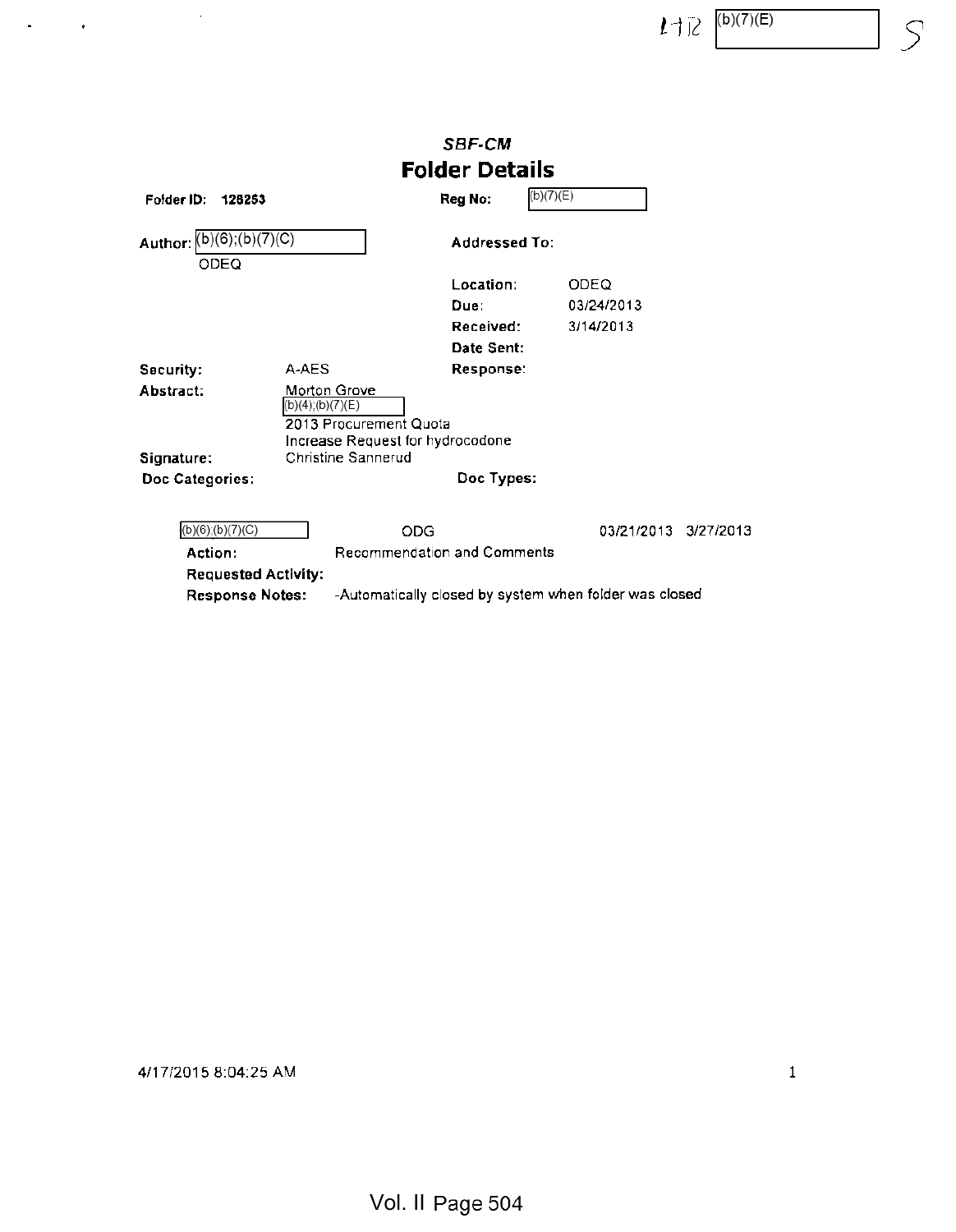$1\exists R$   $(b)(7)(E)$   $S$ 

|                                                                 |                                                                                                                      | <b>SBF-CM</b>                             |                                                        |
|-----------------------------------------------------------------|----------------------------------------------------------------------------------------------------------------------|-------------------------------------------|--------------------------------------------------------|
|                                                                 |                                                                                                                      | <b>Folder Details</b>                     |                                                        |
| Folder ID:<br>126253                                            |                                                                                                                      | Reg No:                                   | (b)(7)(E)                                              |
| (b)(6);(b)(7)(C)<br>Author:<br>ODEQ                             |                                                                                                                      | Addressed To:                             |                                                        |
|                                                                 |                                                                                                                      | Location:                                 | ODEQ                                                   |
|                                                                 |                                                                                                                      | Due:                                      | 03/24/2013                                             |
|                                                                 |                                                                                                                      | Received:                                 | 3/14/2013                                              |
|                                                                 |                                                                                                                      | Date Sent:                                |                                                        |
| Security:                                                       | A-AES                                                                                                                | Response:                                 |                                                        |
| Abstract:                                                       | Morton Grove<br>(b)(4);(b)(7)(E)<br>2013 Procurement Quota<br>Increase Request for hydrocodone<br>Christine Sannerud |                                           |                                                        |
| Signature:<br>Doc Categories:                                   |                                                                                                                      | Doc Types:                                |                                                        |
| $(b)(6)$ ; $(b)(7)(C)$<br>Action:<br><b>Requested Activity:</b> |                                                                                                                      | ODG<br><b>Recommendation and Comments</b> | 03/21/2013<br>3/27/2013                                |
| <b>Response Notes:</b>                                          |                                                                                                                      |                                           | -Automatically closed by system when folder was closed |

4/17/2015 8:04:25 AM <sup>1</sup>

 $\sim$ 

 $\mathcal{A}^{\mathcal{A}}$  and  $\mathcal{A}^{\mathcal{A}}$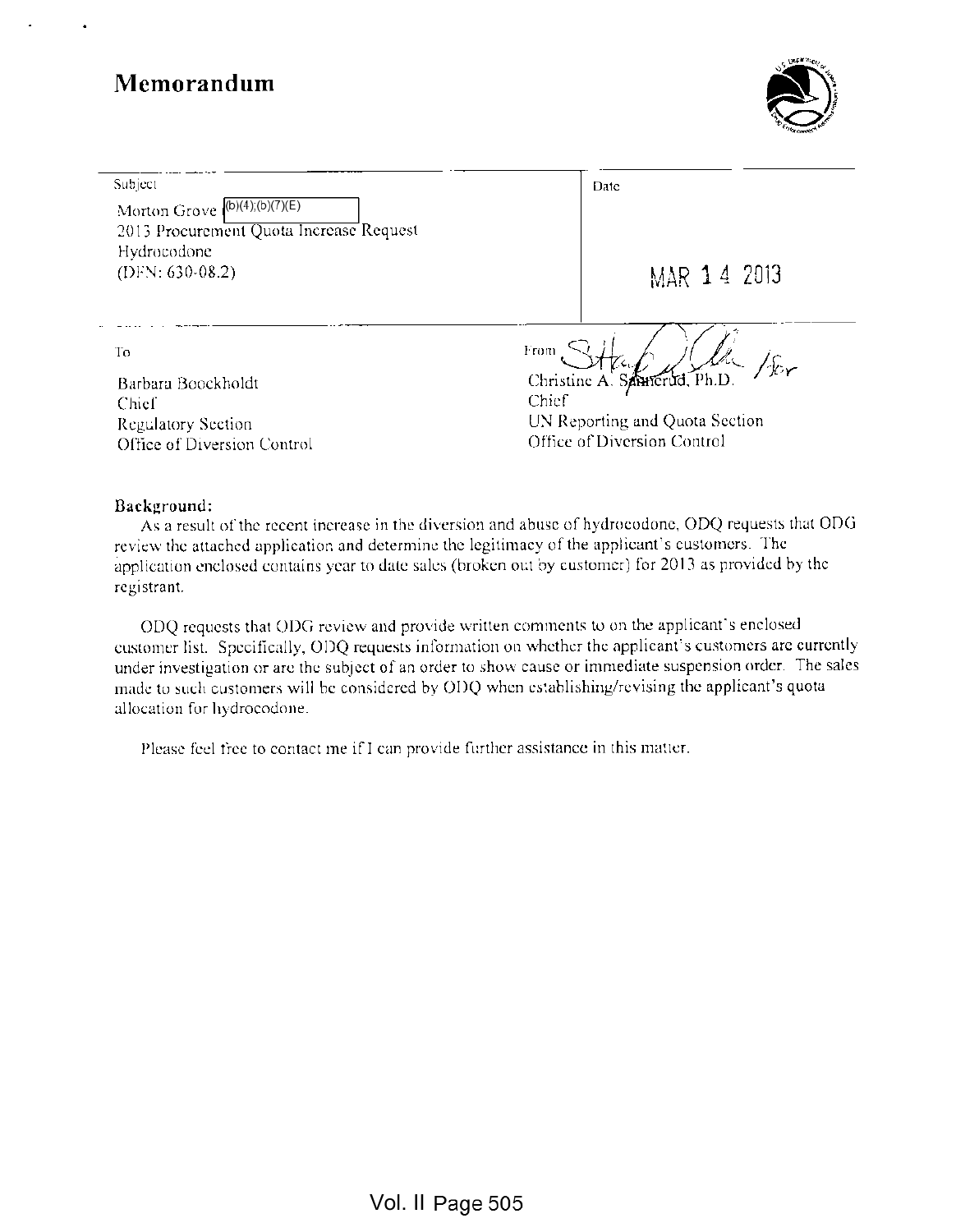

Subject

Morton Grove  $\sqrt{(b)(4)(b)(7)(E)}$ 2013 Procurement Quota Increase Request Hydrocodonc (DFN: 630-08.2) MAR 1 4 2013

Date

Barbara Boockholdt Ghristine A. S^TmTd, Ph.D. Chief Chief Regulatory Section Office of Diversion Control

 $\Gamma$ o from  $\Gamma$  $\overline{\text{id}}$ . Ph. D  $\mathscr{V}_{\mathrm{Ker}}$ 

UN Reporting and Quota Section Office of Diversion Control

#### Background:

As <sup>a</sup> result of the recent increase in the diversion and abuse of hydrocodonc, ODQ requests that ODG review the attached application and determine the legitimacy of the applicant's customers. The application enclosed contains year to date sales (broken out by customer) for 2013 as provided by the registrant.

ODQ requests that ODG review and provide written comments to on the applicant's enclosed customer list. Specifically, ODQ requests information on whether the applicant's customers are currently under investigation or arc the subject of an order to show cause or immediate suspension order. The sales made to such customers will be considered by ODQ when establishing/revising the applicant's quota allocation for hydrocodonc.

Please feel free to contact me if <sup>I</sup> can provide further assistance in this matter.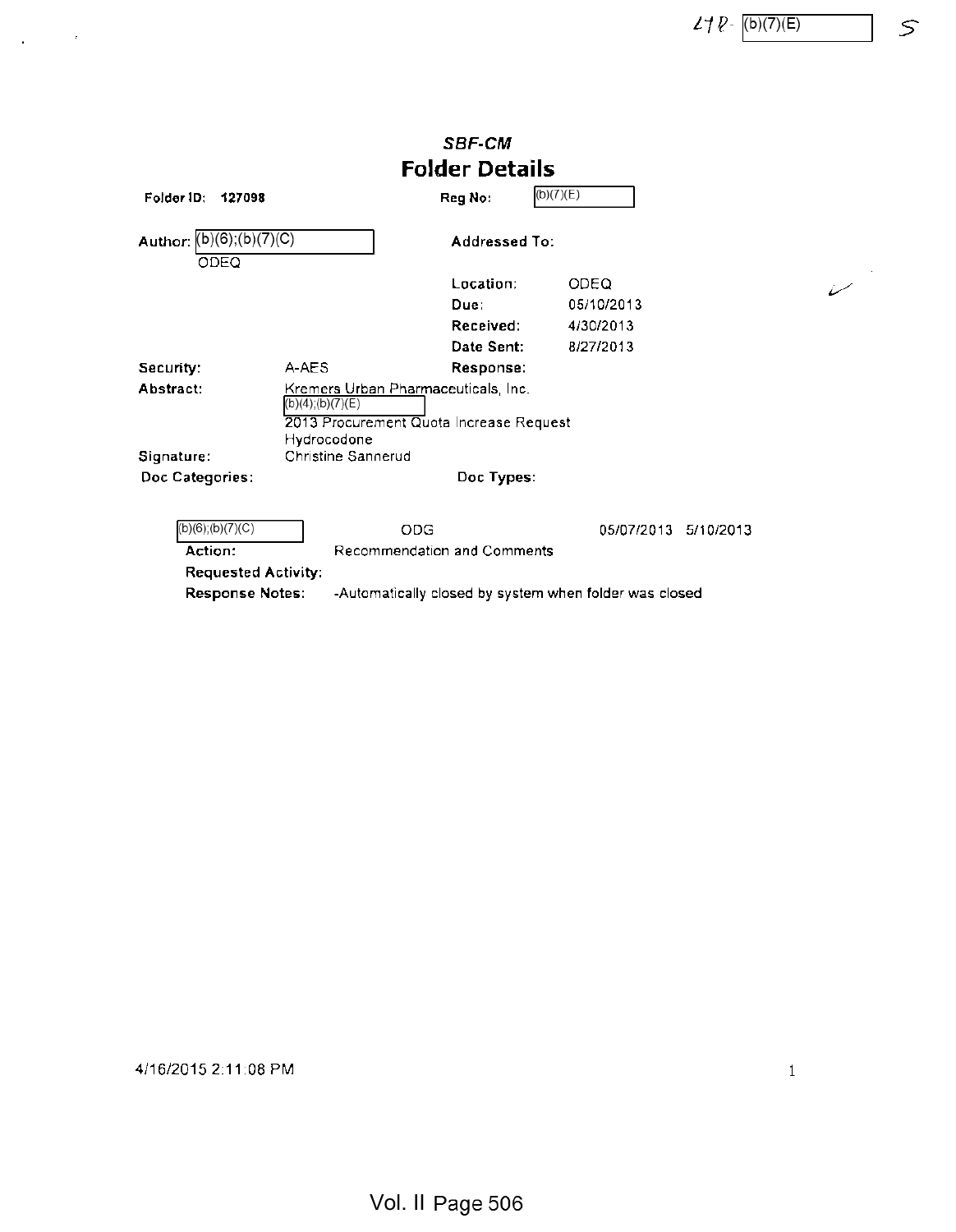$27 P - (b)(7)(E)$  5

|                                                                                  |                                                                                                                         | <b>SBF-CM</b>         |                         |
|----------------------------------------------------------------------------------|-------------------------------------------------------------------------------------------------------------------------|-----------------------|-------------------------|
|                                                                                  |                                                                                                                         | <b>Folder Details</b> |                         |
| Folder ID:<br>127098                                                             |                                                                                                                         | Reg No:               | (b)(7)(E)               |
| Author: $(b)(6)$ ; $(b)(7)(C)$<br>ODEO                                           |                                                                                                                         | <b>Addressed To:</b>  |                         |
|                                                                                  |                                                                                                                         | Location:             | ODEQ                    |
|                                                                                  |                                                                                                                         | Due:                  | 05/10/2013              |
|                                                                                  |                                                                                                                         | Received:             | 4/30/2013               |
|                                                                                  |                                                                                                                         | Date Sent:            | 8/27/2013               |
| Security:                                                                        | A-AES                                                                                                                   | Response:             |                         |
| Abstract:                                                                        | Kremers Urban Pharmaceuticals, Inc.<br>$(b)(4)$ ; $(b)(7)(E)$<br>2013 Procurement Quota Increase Request<br>Hydrocodone |                       |                         |
| Signature:                                                                       | Christine Sannerud                                                                                                      |                       |                         |
| Doc Categories:                                                                  | Doc Types:                                                                                                              |                       |                         |
| $(b)(6)$ ; $(b)(7)(C)$<br>Action:<br><b>Requested Activity:</b>                  | ODG<br><b>Recommendation and Comments</b>                                                                               |                       | 05/07/2013<br>5/10/2013 |
| <b>Response Notes:</b><br>-Automatically closed by system when folder was closed |                                                                                                                         |                       |                         |

4/16/2015 2:11:08 PM <sup>1</sup>

 $\Delta \sim 10^{-10}$ 

Vol. II Page 506

 $\nu^+$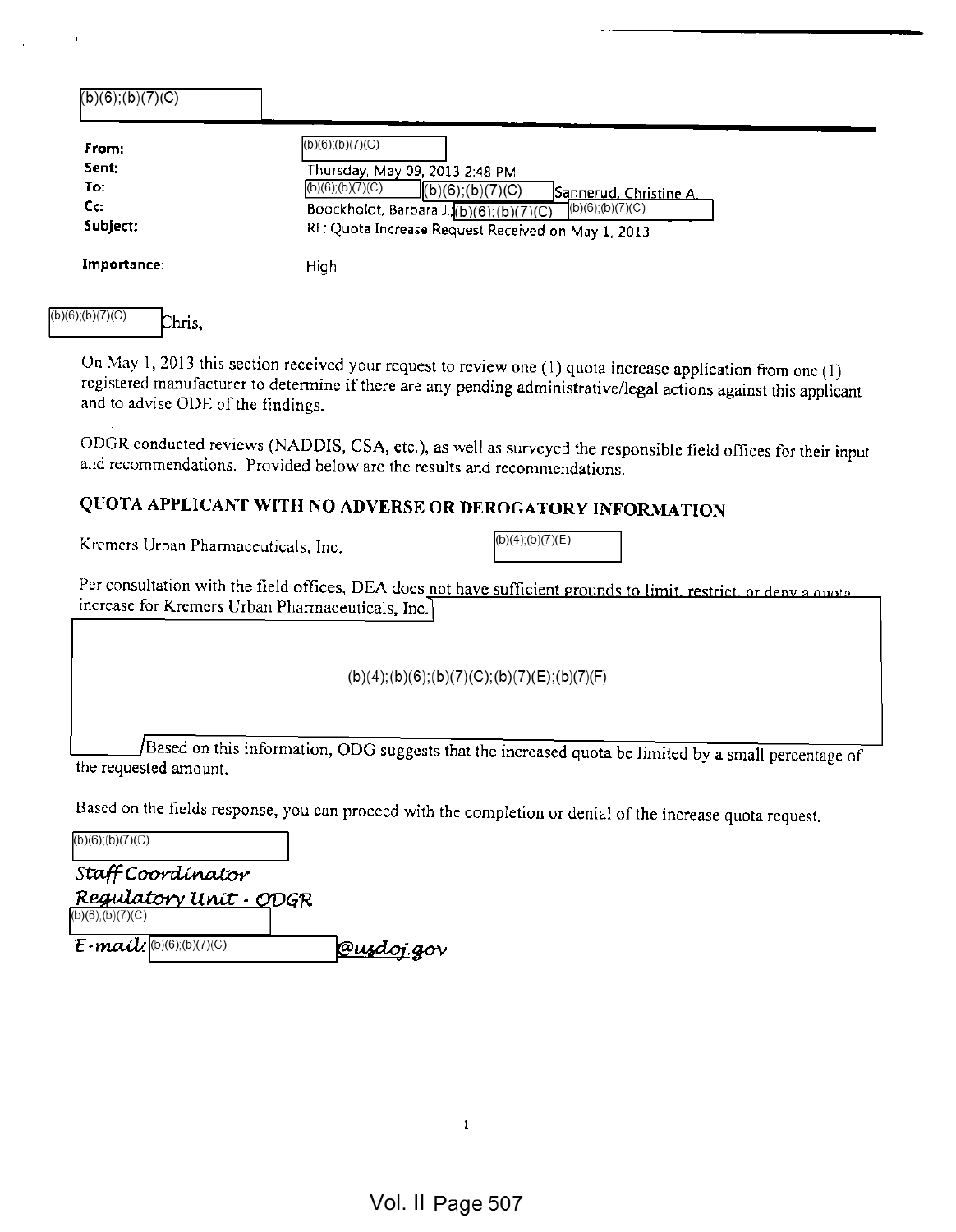| From:       | $(b)(6)$ ; $(b)(7)(C)$                                                |
|-------------|-----------------------------------------------------------------------|
| Sent:       | Thursday, May 09, 2013 2:48 PM                                        |
| To:         | $(b)(6)$ ; $(b)(7)(C)$<br>(b)(6); (b)(7)(C)<br>Sannerud, Christine A. |
| Cc:         | $(b)(6)$ ;(b)(7)(C)<br>Boockholdt, Barbara J.(b)(6);(b)(7)(C)         |
| Subject:    | RE: Quota Increase Request Received on May 1, 2013                    |
| Importance: | High                                                                  |

On May 1, <sup>2013</sup> this section received your request to review one (1) quota increase application from one (1) registered manufacturer to determine if there are any pending administrative/legal actions against this applicant and to advise ODE of the findings.

ODGR conducted reviews (NADDIS, CSA, etc.), as well as surveyed the responsible field offices for their input and recommendations. Provided below are the results and recommendations.

# QUOTA APPLICANT WITH NO ADVERSE OR DEROGATORY INFORMATION

Kremers Urban Pharmaceuticals, Inc.  $[16]$  (b)(4);(b)(7)(E)

Per consultation with the field offices, DEA does not have sufficient grounds to limit, restrict, or deny a quota increase for Kremers Urban Pharmaceuticals, Inc.

(b)(4);(b)(6);(b)(7)(C);(b)(7)(E);(b)(7)(F)

/Based on this information, ODG suggests that the increased quota be limited by <sup>a</sup> small percentage of the requested amount.

Based on the fields response, you can proceed with the completion or denial of the increase quota request.

 $(b)(6)$ ; $(b)(7)(C)$ Staff Coordinator <u>Regulatory Unit - O</u>DGR  $(b)(6)$ ; $(b)(7)(C)$  $E$ -mail  $^{(D)(6),(D)(7)(C)}$  @usdoj.gov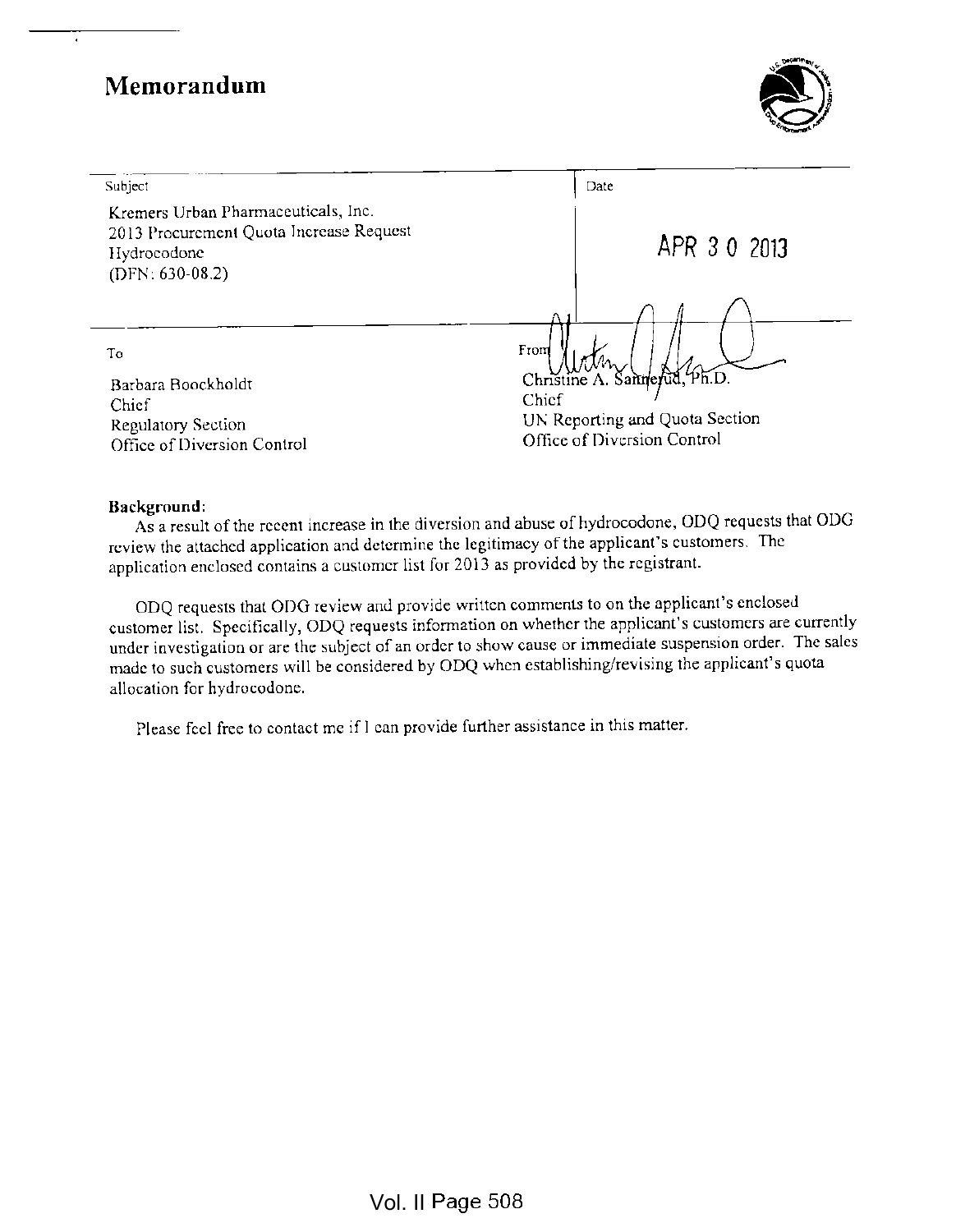# Memorandum and the set of the set of the set of the set of the set of the set of the set of the set of the set of the set of the set of the set of the set of the set of the set of the set of the set of the set of the set o

 $\overline{\phantom{a}}$ 



| Subject                                                                                                            | Date                                                                                                           |
|--------------------------------------------------------------------------------------------------------------------|----------------------------------------------------------------------------------------------------------------|
| Kremers Urban Pharmaceuticals, Inc.<br>2013 Procurement Quota Increase Request<br>Hydrocodone<br>$(DFN: 630-08.2)$ | APR 3 0 2013                                                                                                   |
|                                                                                                                    |                                                                                                                |
| To<br>Barbara Boockholdt<br>Chief<br>Regulatory Section<br>Office of Diversion Control                             | From<br>Christine A. Sannerud, Ph.D.<br>Chief<br>UN Reporting and Quota Section<br>Office of Diversion Control |

#### Background:

As <sup>a</sup> result of the recent increase in the diversion and abuse of hydrocodone, ODQ requests that ODG review the attached application and determine the legitimacy of the applicant's customers. The application enclosed contains <sup>a</sup> customer list for <sup>2013</sup> as provided by the registrant.

ODQ requests that ODG review and provide written comments to on the applicant's enclosed customer list. Specifically, ODQ requests information on whether the applicant's customers are currently under investigation or are the subject of an order to show cause or immediate suspension order. The sales made to such customers will be considered by ODQ when establishing/revising the applicant's quota allocation for hydrocodone.

Please feel free to contact me if I can provide further assistance in this matter.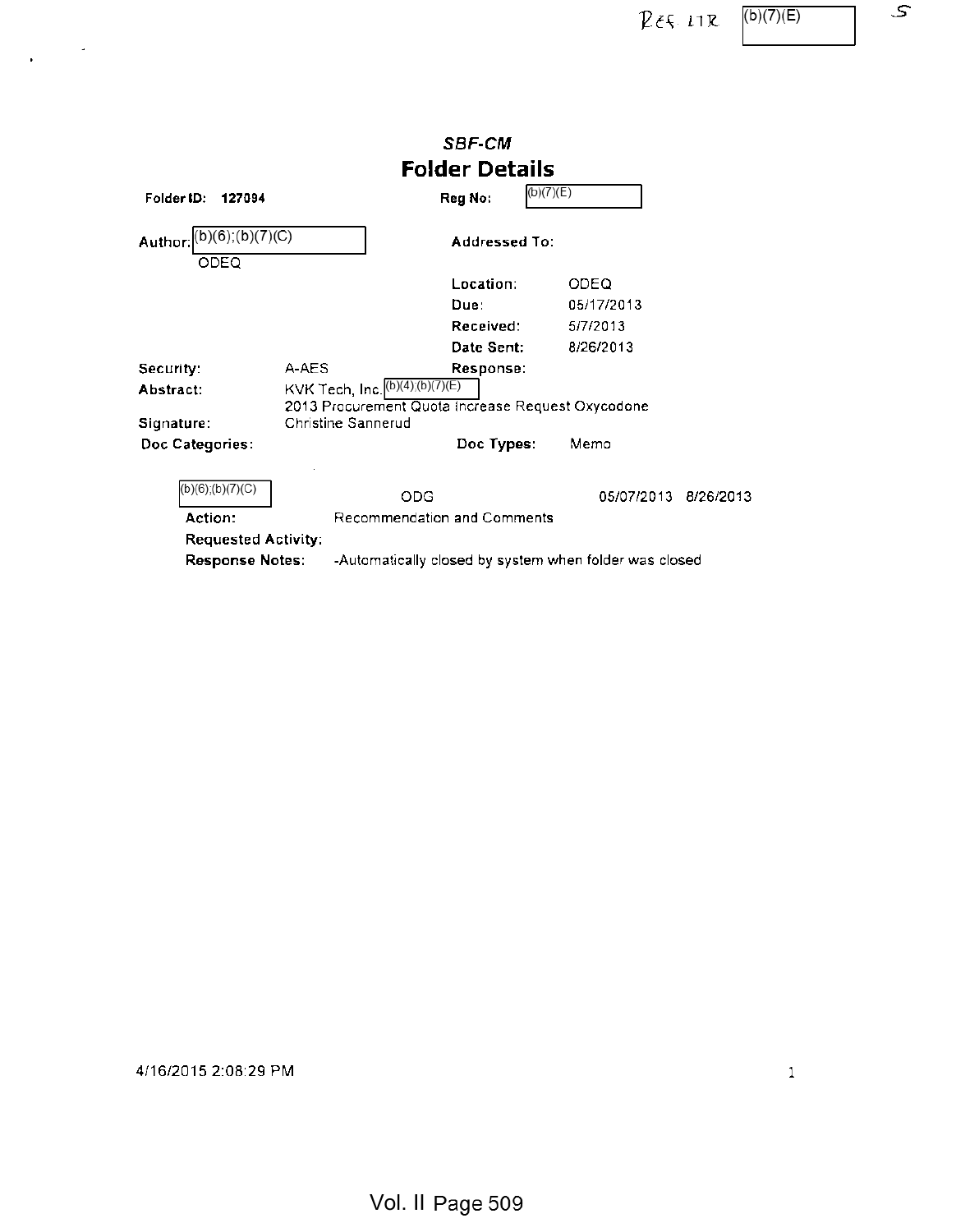$P \in \{-11R, \frac{(b)(7)(E)}{E}\}$ 

 $\mathcal{L}$ 

|                                                                                  |                                                                                                                      | SBF-CM                |            |           |
|----------------------------------------------------------------------------------|----------------------------------------------------------------------------------------------------------------------|-----------------------|------------|-----------|
|                                                                                  |                                                                                                                      | <b>Folder Details</b> |            |           |
| Folder ID:<br>127094                                                             |                                                                                                                      | (b)(7)(E)<br>Reg No:  |            |           |
| Author: (b)(6); (b)(7)(C)<br>ODEQ                                                |                                                                                                                      | <b>Addressed To:</b>  |            |           |
|                                                                                  |                                                                                                                      | Location:             | ODEQ       |           |
|                                                                                  |                                                                                                                      | Due:                  | 05/17/2013 |           |
|                                                                                  |                                                                                                                      | Received:             | 5/7/2013   |           |
|                                                                                  |                                                                                                                      | Date Sent:            | 8/26/2013  |           |
| Security:<br>Abstract:<br>Signature:                                             | A-AES<br>KVK Tech, Inc. (b)(4); (b)(7)(E)<br>2013 Procurement Quota Increase Request Oxycodone<br>Christine Sannerud | Response:             |            |           |
| Doc Categories:                                                                  |                                                                                                                      | Doc Types:            | Memo       |           |
| $(b)(6)$ ; $(b)(7)(C)$<br>Action:<br><b>Requested Activity:</b>                  | ODG<br>Recommendation and Comments                                                                                   |                       | 05/07/2013 | 8/26/2013 |
| <b>Response Notes:</b><br>-Automatically closed by system when folder was closed |                                                                                                                      |                       |            |           |

4/16/2015 2:08:29 PM <sup>1</sup>

 $\chi_{\rm c} = 2\pi$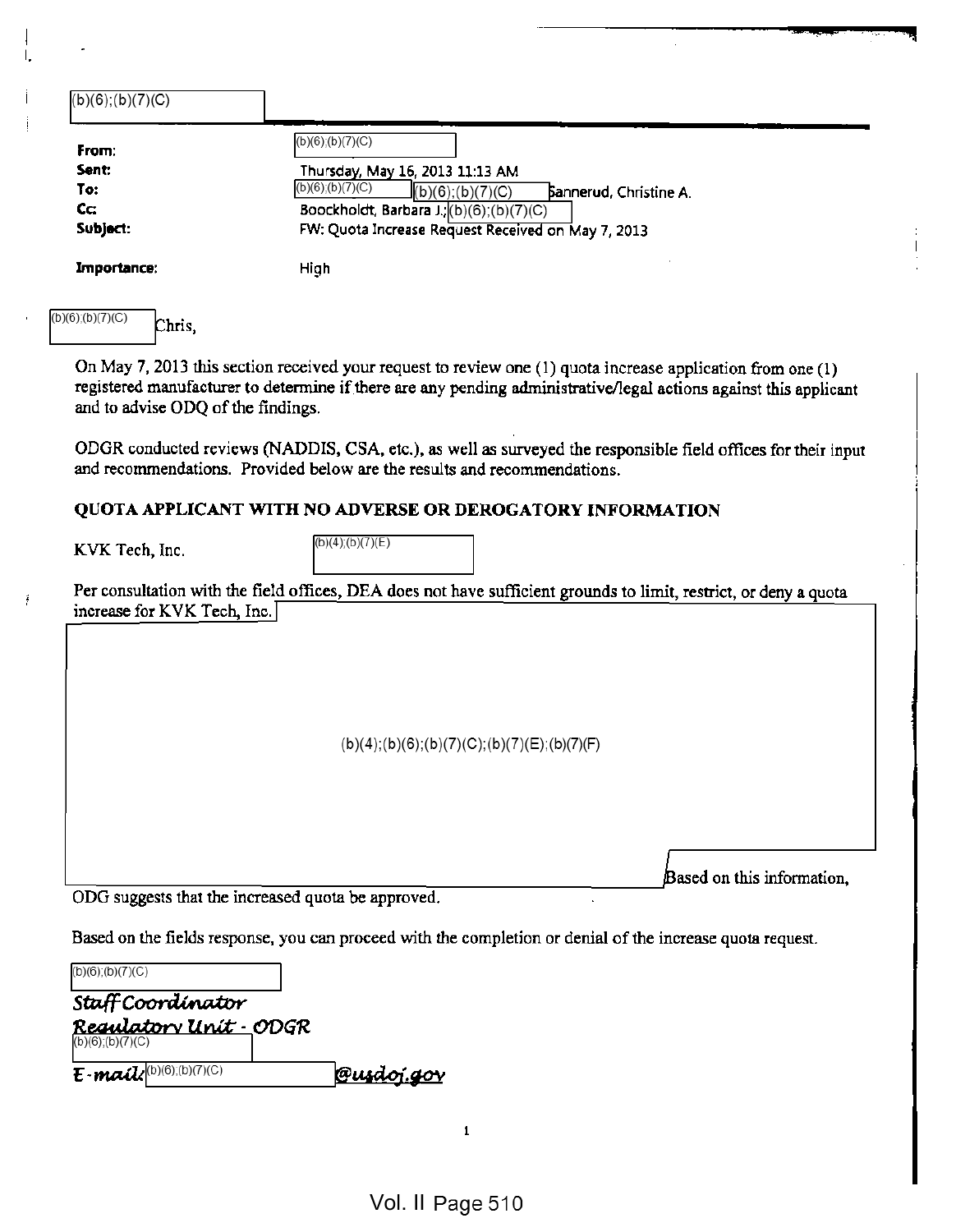| $(b)(6)$ ; $(b)(7)(C)$                                           |                                                                                                                                                                                                                                       |
|------------------------------------------------------------------|---------------------------------------------------------------------------------------------------------------------------------------------------------------------------------------------------------------------------------------|
| From:<br>Sent:<br>To:<br>Cc:<br>Subject:                         | $(b)(6)$ ; $(b)(7)(C)$<br>Thursday, May 16, 2013 11:13 AM<br>$(b)(6)$ ; $(b)(7)(C)$<br>(b)(6); (b)(7)(C)<br>Sannerud, Christine A.<br>Boockholdt, Barbara J.; (b)(6); (b)(7)(C)<br>FW: Quota Increase Request Received on May 7, 2013 |
| Importance:                                                      | High                                                                                                                                                                                                                                  |
| (b)(6);(b)(7)(C)<br>Chris,<br>and to advise ODQ of the findings. | On May 7, 2013 this section received your request to review one (1) quota increase application from one (1)<br>registered manufacturer to determine if there are any pending administrative/legal actions against this applicant      |
|                                                                  | ODGR conducted reviews (NADDIS, CSA, etc.), as well as surveyed the responsible field offices for their input<br>and recommendations. Provided below are the results and recommendations.                                             |

## QUOTA APPLICANT WITH NO ADVERSE OR DEROGATORY INFORMATION

**KVK Tech, Inc.**  $(b)(4)(b)(7)(E)$ 

 $\tilde{t}$ 

Per consultation with the field offices, DEA does not have sufficient grounds to limit, restrict, or deny a quota increase for KVK Tech, Inc.]

(b)(4);(b)(6);(b)(7)(C);(b)(7)(E);(b)(7)(F)

ODG suggests that the increased quota be approved.

Based on the fields response, you can proceed with the completion or denial of the increase quota request.

| $(b)(6)$ ;(b)(7)(C)                                                                                  |                   |
|------------------------------------------------------------------------------------------------------|-------------------|
| Staff Coordinator                                                                                    |                   |
| <mark>Requlatory Unit - ODGR</mark><br>(b)(6) <u>;(b)(7)(</u> C)                                     |                   |
| $E$ -mail $k^{\left(\text{b}\right)\left(\text{b}\right)\left(\text{b}\right)\left(\text{c}\right)}$ | <u>@usdoj.gov</u> |

 $\mathbf{1}$ 

Based on this information,

JWHB \*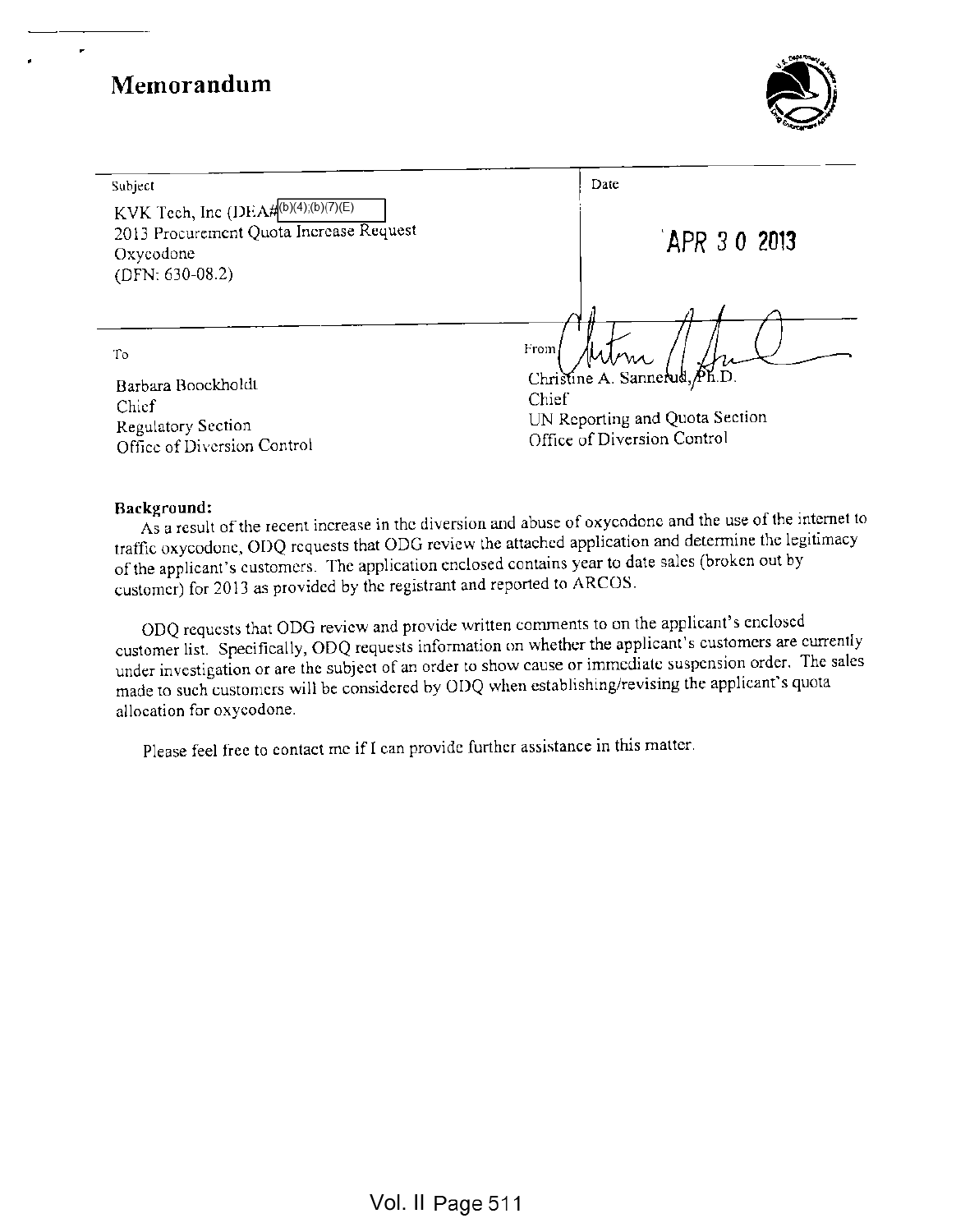÷



| Subject                                                                                                         | Date                                  |
|-----------------------------------------------------------------------------------------------------------------|---------------------------------------|
| KVK Tech, Inc (DEA#0)(4);(b)(7)(E)<br>2013 Procurement Quota Increase Request<br>Oxycodone<br>$(DFN: 630-08.2)$ | APR 30 2013                           |
|                                                                                                                 |                                       |
| To                                                                                                              | From                                  |
| Barbara Boockholdt                                                                                              | Christine A. Sannerud, Ph.D.<br>Chief |
| Chief                                                                                                           | UN Reporting and Quota Section        |
| <b>Regulatory Section</b>                                                                                       | Office of Diversion Control           |
| Office of Diversion Control                                                                                     |                                       |

## Background:

As a result of the recent increase in the diversion and abuse of oxycodone and the use of the internet to traffic oxycodone, ODQ requests that ODG review the attached application and determine the legitimacy of the applicant's customers. The application enclosed contains year to date sales (broken out by customer) for <sup>2013</sup> as provided by the registrant and reported to ARCOS.

ODQ requests that ODG review and provide written comments to on the applicant's enclosed customer list. Specifically, ODQ requests information on whether the applicant's customers are currently under investigation or are the subject of an order to show cause or immediate suspension order. The sales made to such customers will be considered by ODQ when establishing/revising the applicant's quota allocation for oxycodone.

Please feel free to contact mc if <sup>I</sup> can provide further assistance in this matter.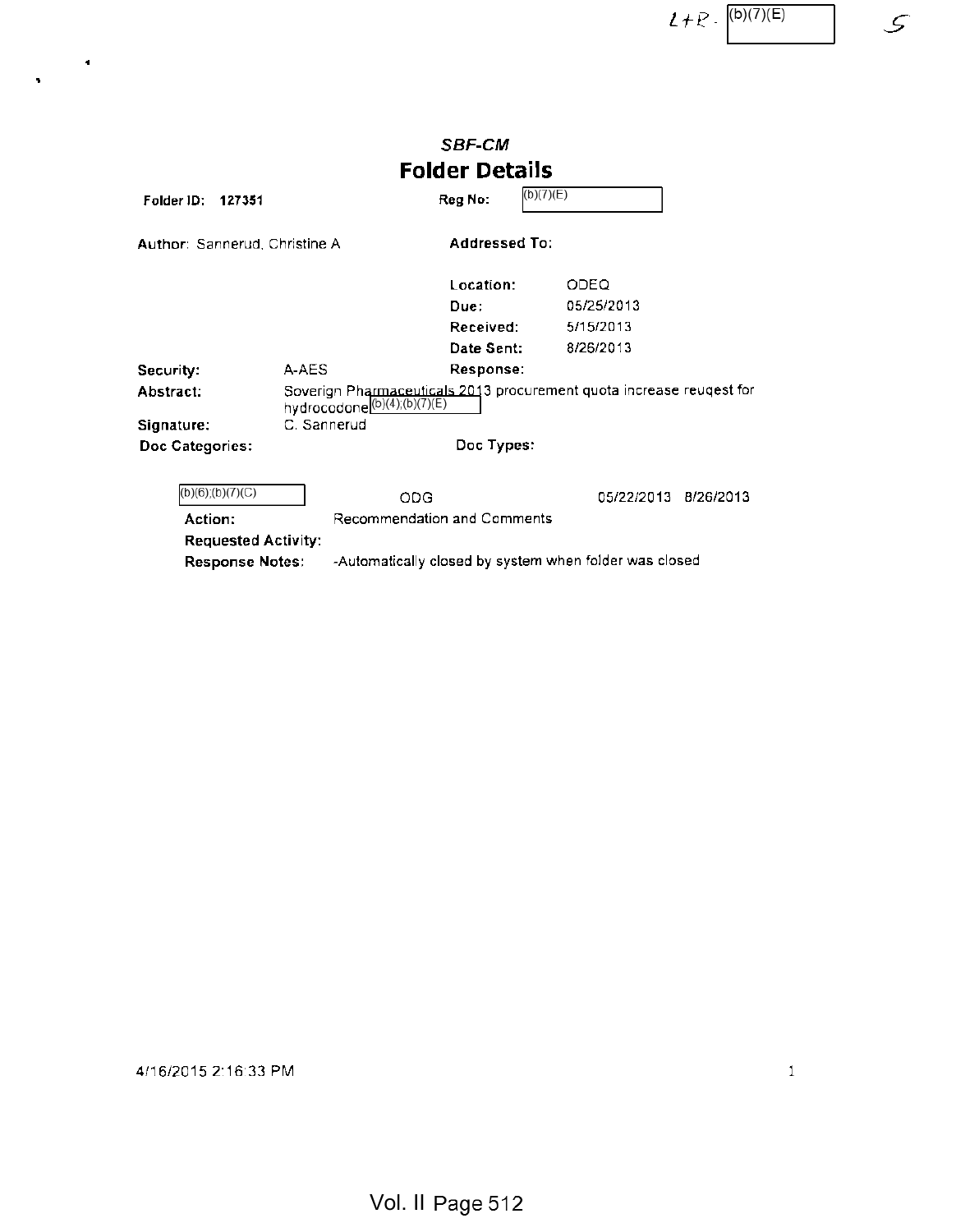$2 + R \cdot \frac{(b)(7)(E)}{2}$  5

|                                        |                                                                                                                 | <b>SBF-CM</b>         |            |           |
|----------------------------------------|-----------------------------------------------------------------------------------------------------------------|-----------------------|------------|-----------|
|                                        |                                                                                                                 | <b>Folder Details</b> |            |           |
| Folder ID:<br>127351                   |                                                                                                                 | (b)(7)(E)<br>Reg No:  |            |           |
| Author: Sannerud, Christine A          |                                                                                                                 | <b>Addressed To:</b>  |            |           |
|                                        |                                                                                                                 | Location:             | ODEQ       |           |
|                                        |                                                                                                                 | Due:                  | 05/25/2013 |           |
|                                        |                                                                                                                 | Received:             | 5/15/2013  |           |
|                                        |                                                                                                                 | Date Sent:            | 8/26/2013  |           |
| Security:                              | A-AES                                                                                                           | Response:             |            |           |
| Abstract:                              | Soverign Pharmaceuticals 2013 procurement quota increase reugest for<br>hydrocodone <sup>(b)(4);(b)(7)(E)</sup> |                       |            |           |
| Signature:                             | C. Sannerud                                                                                                     |                       |            |           |
| Doc Categories:                        |                                                                                                                 | Doc Types:            |            |           |
| $(b)(6)$ ; $(b)(7)(C)$                 | <b>ODG</b>                                                                                                      |                       | 05/22/2013 | 8/26/2013 |
| Recommendation and Comments<br>Action: |                                                                                                                 |                       |            |           |
| <b>Requested Activity:</b>             |                                                                                                                 |                       |            |           |
|                                        | -Automatically closed by system when folder was closed<br><b>Response Notes:</b>                                |                       |            |           |

4/16/2015 2:16:33 PM <sup>1</sup>

 $\blacktriangleleft$ 

 $\bar{\mathbf{r}}$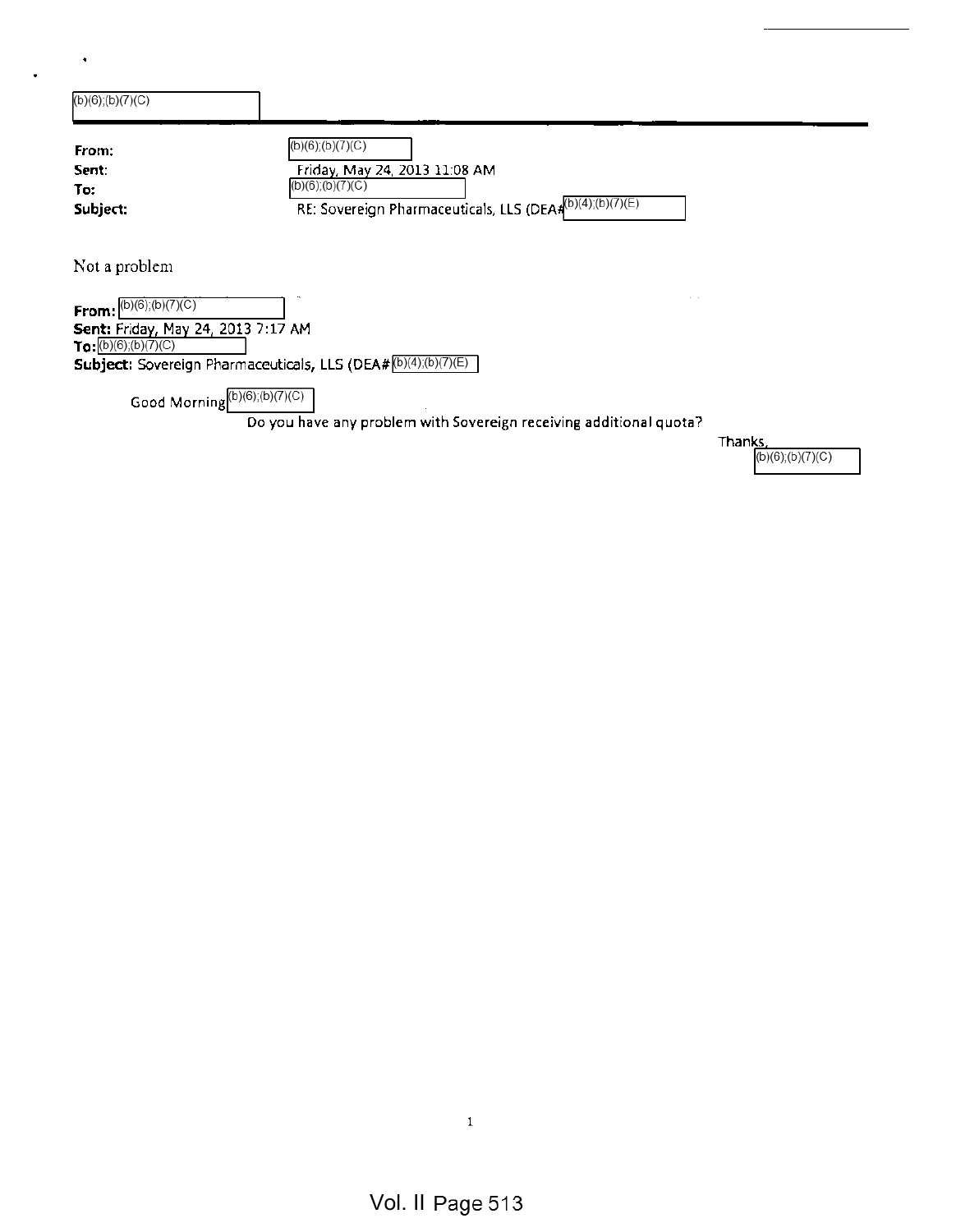| From:                                                                 | (b)(6);(b)(7)(C)                                               |
|-----------------------------------------------------------------------|----------------------------------------------------------------|
| Sent:                                                                 | Friday, May 24, 2013 11:08 AM                                  |
| To:                                                                   | $\overline{(b)(6)}(b)(7)(C)$                                   |
| Subject:                                                              | RE: Sovereign Pharmaceuticals, LLS (DEA# (b)(4);(b)(7)(E)      |
| Not a problem                                                         |                                                                |
|                                                                       |                                                                |
| $\overline{b}(6)$ ;(b)(7)(C)                                          |                                                                |
|                                                                       |                                                                |
|                                                                       | Subject: Sovereign Pharmaceuticals, LLS (DEA# (b)(4);(b)(7)(E) |
| From:<br>Sent: Friday, May 24, 2013 7:17 AM<br>$To:[b)(6)$ ;(b)(7)(C) | Good Morning(b)(6);(b)(7)(C)                                   |

 $\ddot{\phantom{a}}$